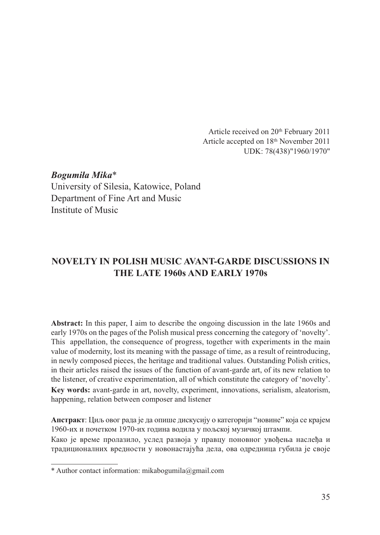Article received on 20th February 2011 Article accepted on 18th November 2011 UDK: 78(438)"1960/1970"

*Bogumiła Mika*\* University of Silesia, Katowice, Poland Department of Fine Art and Music Institute of Music

# **NOVELTY IN POLISH MUSIC AVANT-GARDE DISCUSSIONS IN THE LATE 1960s AND EARLY 1970s**

**Abstract:** In this paper, I aim to describe the ongoing discussion in the late 1960s and early 1970s on the pages of the Polish musical press concerning the category of 'novelty'. This appellation, the consequence of progress, together with experiments in the main value of modernity, lost its meaning with the passage of time, as a result of reintroducing, in newly composed pieces, the heritage and traditional values. Outstanding Polish critics, in their articles raised the issues of the function of avant-garde art, of its new relation to the listener, of creative experimentation, all of which constitute the category of 'novelty'. **Key words:** avant-garde in art, novelty, experiment, innovations, serialism, aleatorism, happening, relation between composer and listener

**Апстракт**: Циљ овог рада је да опише дискусију о категорији "новине" која се крајем 1960-их и почетком 1970-их година водила у пољској музичкој штампи.

Како је време пролазило, услед развоја у правцу поновног увођења наслеђа и традиционалних вредности у новонастајућа дела, ова одредница губила је своје

<sup>\*</sup> Author contact information: mikabogumila@gmail.com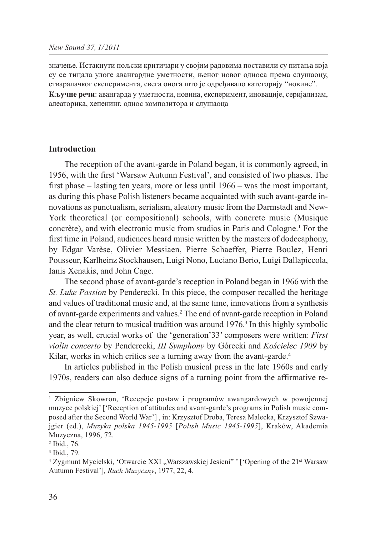значење. Истакнути пољски критичари у својим радовима поставили су питања која су се тицала улоге авангардне уметности, њеног новог односа према слушаоцу, стваралачког експеримента, свега онога што је одређивало категорију "новине". **Кључне речи**: авангарда у уметности, новина, експеримент, иновације, серијализам, алеаторика, хепенинг, однос композитора и слушаоца

#### **Introduction**

The reception of the avant-garde in Poland began, it is commonly agreed, in 1956, with the first 'Warsaw Autumn Festival', and consisted of two phases. The first phase – lasting ten years, more or less until 1966 – was the most important, as during this phase Polish listeners became acquainted with such avant-garde innovations as punctualism, serialism, aleatory music from the Darmstadt and New-York theoretical (or compositional) schools, with concrete music (Musique concrète), and with electronic music from studios in Paris and Cologne.1 For the first time in Poland, audiences heard music written by the masters of dodecaphony, by Edgar Varèse, Olivier Messiaen, Pierre Schaeffer, Pierre Boulez, Henri Pousseur, Karlheinz Stockhausen, Luigi Nono, Luciano Berio, Luigi Dallapiccola, Ianis Xenakis, and John Cage.

The second phase of avant-garde's reception in Poland began in 1966 with the *St. Luke Passion* by Penderecki. In this piece, the composer recalled the heritage and values of traditional music and, at the same time, innovations from a synthesis of avant-garde experiments and values.2 The end of avant-garde reception in Poland and the clear return to musical tradition was around 1976.<sup>3</sup> In this highly symbolic year, as well, crucial works of the 'generation'33' composers were written: *First violin concerto* by Penderecki, *III Symphony* by Górecki and *Kościelec 1909* by Kilar, works in which critics see a turning away from the avant-garde.<sup>4</sup>

In articles published in the Polish musical press in the late 1960s and early 1970s, readers can also deduce signs of a turning point from the affirmative re-

<sup>1</sup> Zbigniew Skowron, 'Recepcje postaw i programów awangardowych w powojennej muzyce polskiej' ['Reception of attitudes and avant-garde's programs in Polish music composed after the Second World War'] , in: Krzysztof Droba, Teresa Malecka, Krzysztof Szwajgier (ed.), *Muzyka polska 1945-1995* [*Polish Music 1945-1995*], Kraków, Akademia Muzyczna, 1996, 72.

<sup>2</sup> Ibid., 76.

<sup>3</sup> Ibid., 79.

<sup>&</sup>lt;sup>4</sup> Zygmunt Mycielski, 'Otwarcie XXI "Warszawskiej Jesieni" ' ['Opening of the 21<sup>st</sup> Warsaw Autumn Festival']*, Ruch Muzyczny*, 1977, 22, 4.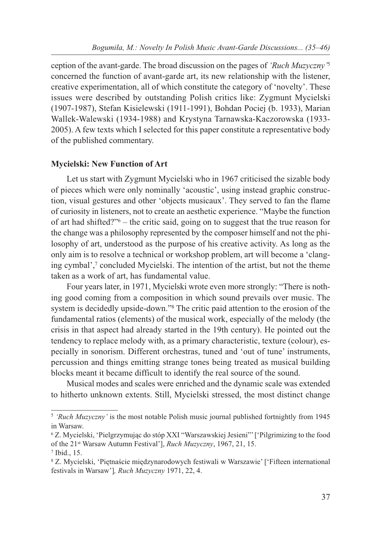ception of the avant-garde. The broad discussion on the pages of *'Ruch Muzyczny'*<sup>5</sup> concerned the function of avant-garde art, its new relationship with the listener, creative experimentation, all of which constitute the category of 'novelty'. These issues were described by outstanding Polish critics like: Zygmunt Mycielski (1907-1987), Stefan Kisielewski (1911-1991), Bohdan Pociej (b. 1933), Marian Wallek-Walewski (1934-1988) and Krystyna Tarnawska-Kaczorowska (1933- 2005). A few texts which I selected for this paper constitute a representative body of the published commentary.

### **Mycielski: New Function of Art**

Let us start with Zygmunt Mycielski who in 1967 criticised the sizable body of pieces which were only nominally 'acoustic', using instead graphic construction, visual gestures and other 'objects musicaux'. They served to fan the flame of curiosity in listeners, not to create an aesthetic experience. "Maybe the function of art had shifted?"6 – the critic said, going on to suggest that the true reason for the change was a philosophy represented by the composer himself and not the philosophy of art, understood as the purpose of his creative activity. As long as the only aim is to resolve a technical or workshop problem, art will become a 'clanging cymbal', $\frac{7}{7}$  concluded Mycielski. The intention of the artist, but not the theme taken as a work of art, has fundamental value.

Four years later, in 1971, Mycielski wrote even more strongly: "There is nothing good coming from a composition in which sound prevails over music. The system is decidedly upside-down."8 The critic paid attention to the erosion of the fundamental ratios (elements) of the musical work, especially of the melody (the crisis in that aspect had already started in the 19th century). He pointed out the tendency to replace melody with, as a primary characteristic, texture (colour), especially in sonorism. Different orchestras, tuned and 'out of tune' instruments, percussion and things emitting strange tones being treated as musical building blocks meant it became difficult to identify the real source of the sound.

Musical modes and scales were enriched and the dynamic scale was extended to hitherto unknown extents. Still, Mycielski stressed, the most distinct change

<sup>5</sup> *'Ruch Muzyczny'* is the most notable Polish music journal published fortnightly from 1945 in Warsaw.

<sup>6</sup> Z. Mycielski, 'Pielgrzymując do stóp XXI "Warszawskiej Jesieni"' ['Pilgrimizing to the food of the 21st Warsaw Autumn Festival'], *Ruch Muzyczny*, 1967, 21, 15.

<sup>7</sup> Ibid., 15.

<sup>8</sup> Z. Mycielski, 'Piętnaście międzynarodowych festiwali w Warszawie' ['Fifteen international festivals in Warsaw']*, Ruch Muzyczny* 1971, 22, 4.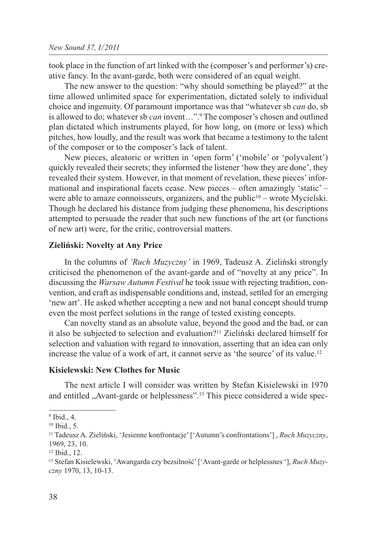took place in the function of art linked with the (composer's and performer's) creative fancy. In the avant-garde, both were considered of an equal weight.

The new answer to the question: "why should something be played?" at the time allowed unlimited space for experimentation, dictated solely to individual choice and ingenuity. Of paramount importance was that "whatever sb *can* do, sb is allowed to do; whatever sb *can* invent…".9 The composer's chosen and outlined plan dictated which instruments played, for how long, on (more or less) which pitches, how loudly, and the result was work that became a testimony to the talent of the composer or to the composer's lack of talent.

New pieces, aleatoric or written in 'open form' ('mobile' or 'polyvalent') quickly revealed their secrets; they informed the listener 'how they are done', they revealed their system. However, in that moment of revelation, these pieces' informational and inspirational facets cease. New pieces – often amazingly 'static' – were able to amaze connoisseurs, organizers, and the public<sup>10</sup> – wrote Mycielski. Though he declared his distance from judging these phenomena, his descriptions attempted to persuade the reader that such new functions of the art (or functions of new art) were, for the critic, controversial matters.

#### **Zieliński: Novelty at Any Price**

In the columns of *'Ruch Muzyczny'* in 1969, Tadeusz A. Zieliński strongly criticised the phenomenon of the avant-garde and of "novelty at any price". In discussing the *Warsaw Autumn Festival* he took issue with rejecting tradition, convention, and craft as indispensable conditions and, instead, settled for an emerging 'new art'. He asked whether accepting a new and not banal concept should trump even the most perfect solutions in the range of tested existing concepts.

Can novelty stand as an absolute value, beyond the good and the bad, or can it also be subjected to selection and evaluation?11 Zieliński declared himself for selection and valuation with regard to innovation, asserting that an idea can only increase the value of a work of art, it cannot serve as 'the source' of its value.12

#### **Kisielewski: New Clothes for Music**

The next article I will consider was written by Stefan Kisielewski in 1970 and entitled "Avant-garde or helplessness".<sup>13</sup> This piece considered a wide spec-

<sup>9</sup> Ibid., 4.

<sup>10</sup> Ibid., 5.

<sup>11</sup> Tadeusz A. Zieliński, 'Jesienne konfrontacje' ['Autumn's confrontations'] , *Ruch Muzyczny*, 1969, 23, 10.

<sup>12</sup> Ibid., 12.

<sup>13</sup> Stefan Kisielewski, 'Awangarda czy bezsilność' ['Avant-garde or helplessnes '], *Ruch Muzyczny* 1970, 13, 10-13.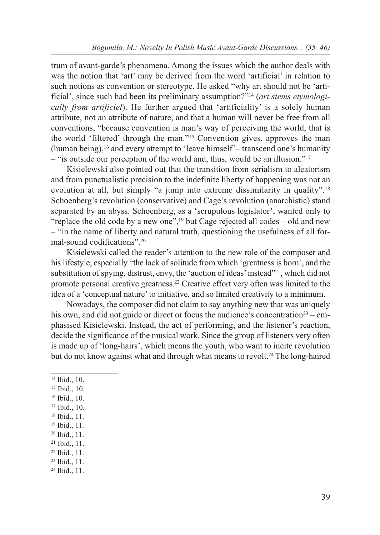trum of avant-garde's phenomena. Among the issues which the author deals with was the notion that 'art' may be derived from the word 'artificial' in relation to such notions as convention or stereotype. He asked "why art should not be 'artificial', since such had been its preliminary assumption?"14 (*art stems etymologically from artificiel*). He further argued that 'artificiality' is a solely human attribute, not an attribute of nature, and that a human will never be free from all conventions, "because convention is man's way of perceiving the world, that is the world 'filtered' through the man."15 Convention gives, approves the man (human being),16 and every attempt to 'leave himself'– transcend one's humanity – "is outside our perception of the world and, thus, would be an illusion."17

Kisielewski also pointed out that the transition from serialism to aleatorism and from punctualistic precision to the indefinite liberty of happening was not an evolution at all, but simply "a jump into extreme dissimilarity in quality".<sup>18</sup> Schoenberg's revolution (conservative) and Cage's revolution (anarchistic) stand separated by an abyss. Schoenberg, as a 'scrupulous legislator', wanted only to "replace the old code by a new one", $^{19}$  but Cage rejected all codes – old and new – "in the name of liberty and natural truth, questioning the usefulness of all formal-sound codifications".20

Kisielewski called the reader's attention to the new role of the composer and his lifestyle, especially "the lack of solitude from which 'greatness is born', and the substitution of spying, distrust, envy, the 'auction of ideas' instead"<sup>21</sup>, which did not promote personal creative greatness.22 Creative effort very often was limited to the idea of a 'conceptual nature' to initiative, and so limited creativity to a minimum.

Nowadays, the composer did not claim to say anything new that was uniquely his own, and did not guide or direct or focus the audience's concentration<sup>23</sup> – emphasised Kisielewski. Instead, the act of performing, and the listener's reaction, decide the significance of the musical work. Since the group of listeners very often is made up of 'long-hairs', which means the youth, who want to incite revolution but do not know against what and through what means to revolt.<sup>24</sup> The long-haired

- <sup>14</sup> Ibid., 10.
- <sup>15</sup> Ibid., 10.
- <sup>16</sup> Ibid., 10.
- <sup>17</sup> Ibid., 10.
- <sup>18</sup> Ibid., 11.
- <sup>19</sup> Ibid., 11.
- <sup>20</sup> Ibid., 11.
- <sup>21</sup> Ibid., 11.
- <sup>22</sup> Ibid., 11.
- <sup>23</sup> Ibid., 11.
- <sup>24</sup> Ibid., 11.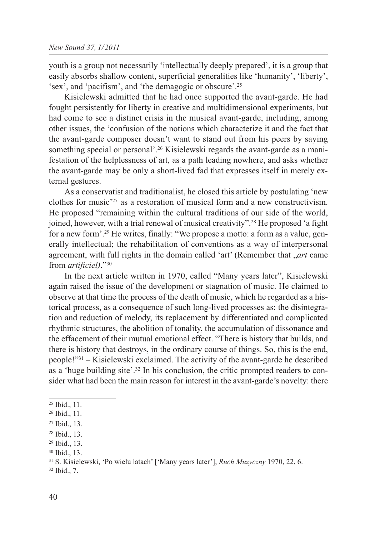youth is a group not necessarily 'intellectually deeply prepared', it is a group that easily absorbs shallow content, superficial generalities like 'humanity', 'liberty', 'sex', and 'pacifism', and 'the demagogic or obscure'.25

Kisielewski admitted that he had once supported the avant-garde. He had fought persistently for liberty in creative and multidimensional experiments, but had come to see a distinct crisis in the musical avant-garde, including, among other issues, the 'confusion of the notions which characterize it and the fact that the avant-garde composer doesn't want to stand out from his peers by saying something special or personal'.<sup>26</sup> Kisielewski regards the avant-garde as a manifestation of the helplessness of art, as a path leading nowhere, and asks whether the avant-garde may be only a short-lived fad that expresses itself in merely external gestures.

As a conservatist and traditionalist, he closed this article by postulating 'new clothes for music'27 as a restoration of musical form and a new constructivism. He proposed "remaining within the cultural traditions of our side of the world, joined, however, with a trial renewal of musical creativity".28 He proposed 'a fight for a new form'.29 He writes, finally: "We propose a motto: a form as a value, generally intellectual; the rehabilitation of conventions as a way of interpersonal agreement, with full rights in the domain called 'art' (Remember that *, art* came from *artificiel)*."30

In the next article written in 1970, called "Many years later", Kisielewski again raised the issue of the development or stagnation of music. He claimed to observe at that time the process of the death of music, which he regarded as a historical process, as a consequence of such long-lived processes as: the disintegration and reduction of melody, its replacement by differentiated and complicated rhythmic structures, the abolition of tonality, the accumulation of dissonance and the effacement of their mutual emotional effect. "There is history that builds, and there is history that destroys, in the ordinary course of things. So, this is the end, people!"31 – Kisielewski exclaimed. The activity of the avant-garde he described as a 'huge building site'.32 In his conclusion, the critic prompted readers to consider what had been the main reason for interest in the avant-garde's novelty: there

<sup>32</sup> Ibid., 7.

<sup>25</sup> Ibid., 11.

<sup>26</sup> Ibid., 11.

<sup>27</sup> Ibid., 13.

<sup>28</sup> Ibid., 13.

<sup>29</sup> Ibid., 13.

<sup>30</sup> Ibid., 13.

<sup>31</sup> S. Kisielewski, 'Po wielu latach' ['Many years later'], *Ruch Muzyczny* 1970, 22, 6.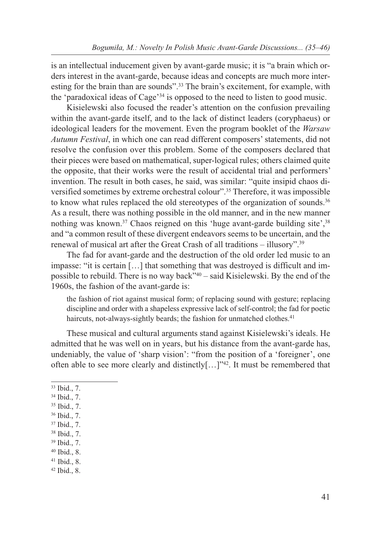is an intellectual inducement given by avant-garde music; it is "a brain which orders interest in the avant-garde, because ideas and concepts are much more interesting for the brain than are sounds".33 The brain's excitement, for example, with the 'paradoxical ideas of Cage'34 is opposed to the need to listen to good music.

Kisielewski also focused the reader's attention on the confusion prevailing within the avant-garde itself, and to the lack of distinct leaders (coryphaeus) or ideological leaders for the movement. Even the program booklet of the *Warsaw Autumn Festival*, in which one can read different composers' statements, did not resolve the confusion over this problem. Some of the composers declared that their pieces were based on mathematical, super-logical rules; others claimed quite the opposite, that their works were the result of accidental trial and performers' invention. The result in both cases, he said, was similar: "quite insipid chaos diversified sometimes by extreme orchestral colour".35 Therefore, it was impossible to know what rules replaced the old stereotypes of the organization of sounds.36 As a result, there was nothing possible in the old manner, and in the new manner nothing was known.<sup>37</sup> Chaos reigned on this 'huge avant-garde building site',<sup>38</sup> and "a common result of these divergent endeavors seems to be uncertain, and the renewal of musical art after the Great Crash of all traditions – illusory".39

The fad for avant-garde and the destruction of the old order led music to an impasse: "it is certain […] that something that was destroyed is difficult and impossible to rebuild. There is no way back"40 – said Kisielewski. By the end of the 1960s, the fashion of the avant-garde is:

the fashion of riot against musical form; of replacing sound with gesture; replacing discipline and order with a shapeless expressive lack of self-control; the fad for poetic haircuts, not-always-sightly beards; the fashion for unmatched clothes.<sup>41</sup>

These musical and cultural arguments stand against Kisielewski's ideals. He admitted that he was well on in years, but his distance from the avant-garde has, undeniably, the value of 'sharp vision': "from the position of a 'foreigner', one often able to see more clearly and distinctly[…]"42. It must be remembered that

<sup>39</sup> Ibid., 7.

<sup>33</sup> Ibid., 7.

<sup>34</sup> Ibid., 7.

<sup>35</sup> Ibid., 7.

<sup>36</sup> Ibid., 7.

<sup>37</sup> Ibid., 7.

<sup>38</sup> Ibid., 7.

<sup>40</sup> Ibid., 8.

<sup>41</sup> Ibid., 8.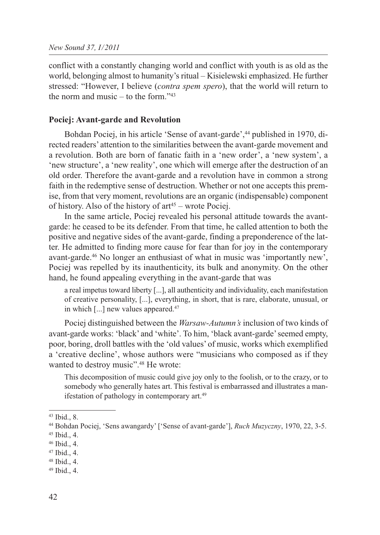conflict with a constantly changing world and conflict with youth is as old as the world, belonging almost to humanity's ritual – Kisielewski emphasized. He further stressed: "However, I believe (*contra spem spero*), that the world will return to the norm and music – to the form." $43$ 

#### **Pociej: Avant-garde and Revolution**

Bohdan Pociej, in his article 'Sense of avant-garde',<sup>44</sup> published in 1970, directed readers' attention to the similarities between the avant-garde movement and a revolution. Both are born of fanatic faith in a 'new order', a 'new system', a 'new structure', a 'new reality', one which will emerge after the destruction of an old order. Therefore the avant-garde and a revolution have in common a strong faith in the redemptive sense of destruction. Whether or not one accepts this premise, from that very moment, revolutions are an organic (indispensable) component of history. Also of the history of  $art^{45}$  – wrote Pociej.

In the same article, Pociej revealed his personal attitude towards the avantgarde: he ceased to be its defender. From that time, he called attention to both the positive and negative sides of the avant-garde, finding a preponderence of the latter. He admitted to finding more cause for fear than for joy in the contemporary avant-garde.46 No longer an enthusiast of what in music was 'importantly new', Pociej was repelled by its inauthenticity, its bulk and anonymity. On the other hand, he found appealing everything in the avant-garde that was

a real impetus toward liberty [...], all authenticity and individuality, each manifestation of creative personality, [...], everything, in short, that is rare, elaborate, unusual, or in which [...] new values appeared.<sup>47</sup>

Pociej distinguished between the *Warsaw-Autumn's* inclusion of two kinds of avant-garde works: 'black' and 'white'. To him, 'black avant-garde' seemed empty, poor, boring, droll battles with the 'old values' of music, works which exemplified a 'creative decline', whose authors were "musicians who composed as if they wanted to destroy music".<sup>48</sup> He wrote:

This decomposition of music could give joy only to the foolish, or to the crazy, or to somebody who generally hates art. This festival is embarrassed and illustrates a manifestation of pathology in contemporary art.<sup>49</sup>

<sup>43</sup> Ibid., 8.

<sup>44</sup> Bohdan Pociej, 'Sens awangardy' ['Sense of avant-garde'], *Ruch Muzyczny*, 1970, 22, 3-5.

<sup>45</sup> Ibid., 4.

<sup>46</sup> Ibid., 4.

<sup>47</sup> Ibid., 4.

<sup>48</sup> Ibid., 4.

<sup>49</sup> Ibid., 4.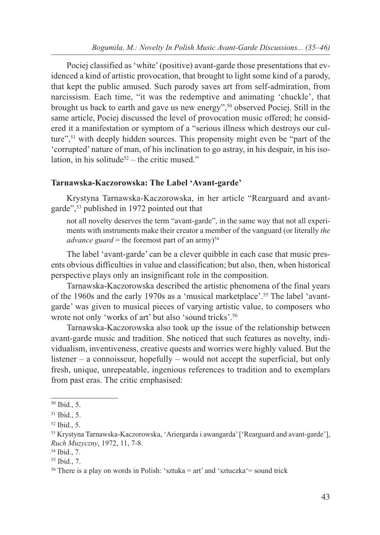Pociej classified as 'white' (positive) avant-garde those presentations that evidenced a kind of artistic provocation, that brought to light some kind of a parody, that kept the public amused. Such parody saves art from self-admiration, from narcissism. Each time, "it was the redemptive and animating 'chuckle', that brought us back to earth and gave us new energy",50 observed Pociej. Still in the same article, Pociej discussed the level of provocation music offered; he considered it a manifestation or symptom of a "serious illness which destroys our culture",51 with deeply hidden sources. This propensity might even be "part of the 'corrupted' nature of man, of his inclination to go astray, in his despair, in his isolation, in his solitude<sup>52</sup> – the critic mused."

### **Tarnawska-Kaczorowska: The Label 'Avant-garde'**

Krystyna Tarnawska-Kaczorowska, in her article "Rearguard and avantgarde",53 published in 1972 pointed out that

not all novelty deserves the term "avant-garde", in the same way that not all experiments with instruments make their creator a member of the vanguard (or literally *the advance guard* = the foremost part of an army)<sup>54</sup>

The label 'avant-garde' can be a clever quibble in each case that music presents obvious difficulties in value and classification; but also, then, when historical perspective plays only an insignificant role in the composition.

Tarnawska-Kaczorowska described the artistic phenomena of the final years of the 1960s and the early 1970s as a 'musical marketplace'.55 The label 'avantgarde' was given to musical pieces of varying artistic value, to composers who wrote not only 'works of art' but also 'sound tricks'.56

Tarnawska-Kaczorowska also took up the issue of the relationship between avant-garde music and tradition. She noticed that such features as novelty, individualism, inventiveness, creative quests and worries were highly valued. But the listener – a connoisseur, hopefully – would not accept the superficial, but only fresh, unique, unrepeatable, ingenious references to tradition and to exemplars from past eras. The critic emphasised:

<sup>50</sup> Ibid., 5.

<sup>51</sup> Ibid., 5.

<sup>52</sup> Ibid., 5.

<sup>53</sup> Krystyna Tarnawska-Kaczorowska, 'Ariergarda i awangarda' ['Rearguard and avant-garde'], *Ruch Muzyczny*, 1972, 11, 7-8.

<sup>54</sup> Ibid., 7.

<sup>55</sup> Ibid., 7.

<sup>&</sup>lt;sup>56</sup> There is a play on words in Polish: 'sztuka = art' and 'sztuczka' = sound trick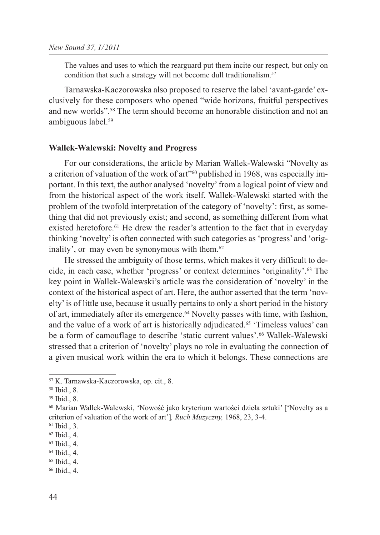The values and uses to which the rearguard put them incite our respect, but only on condition that such a strategy will not become dull traditionalism.<sup>57</sup>

Tarnawska-Kaczorowska also proposed to reserve the label 'avant-garde' exclusively for these composers who opened "wide horizons, fruitful perspectives and new worlds".58 The term should become an honorable distinction and not an ambiguous label.59

#### **Wallek-Walewski: Novelty and Progress**

For our considerations, the article by Marian Wallek-Walewski "Novelty as a criterion of valuation of the work of art"60 published in 1968, was especially important. In this text, the author analysed 'novelty' from a logical point of view and from the historical aspect of the work itself. Wallek-Walewski started with the problem of the twofold interpretation of the category of 'novelty': first, as something that did not previously exist; and second, as something different from what existed heretofore.<sup>61</sup> He drew the reader's attention to the fact that in everyday thinking 'novelty' is often connected with such categories as 'progress' and 'originality', or may even be synonymous with them.<sup>62</sup>

He stressed the ambiguity of those terms, which makes it very difficult to decide, in each case, whether 'progress' or context determines 'originality'.63 The key point in Wallek-Walewski's article was the consideration of 'novelty' in the context of the historical aspect of art. Here, the author asserted that the term 'novelty' is of little use, because it usually pertains to only a short period in the history of art, immediately after its emergence.64 Novelty passes with time, with fashion, and the value of a work of art is historically adjudicated.<sup>65</sup> 'Timeless values' can be a form of camouflage to describe 'static current values'.<sup>66</sup> Wallek-Walewski stressed that a criterion of 'novelty' plays no role in evaluating the connection of a given musical work within the era to which it belongs. These connections are

<sup>57</sup> K. Tarnawska-Kaczorowska, op. cit., 8.

<sup>58</sup> Ibid., 8.

<sup>59</sup> Ibid., 8.

<sup>60</sup> Marian Wallek-Walewski, 'Nowość jako kryterium wartości dzieła sztuki' ['Novelty as a criterion of valuation of the work of art']*, Ruch Muzyczny,* 1968, 23, 3-4.

<sup>61</sup> Ibid., 3.

<sup>62</sup> Ibid., 4.

<sup>63</sup> Ibid., 4.

<sup>64</sup> Ibid., 4.

<sup>65</sup> Ibid., 4.

<sup>66</sup> Ibid., 4.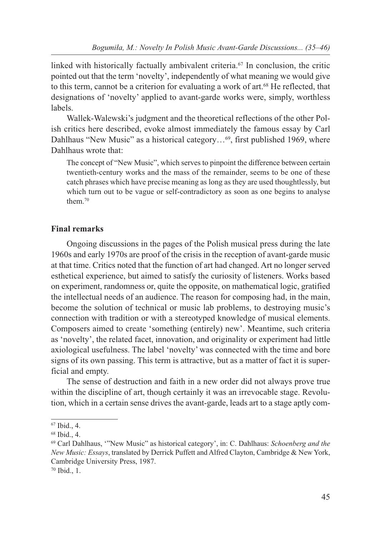linked with historically factually ambivalent criteria.<sup>67</sup> In conclusion, the critic pointed out that the term 'novelty', independently of what meaning we would give to this term, cannot be a criterion for evaluating a work of art.68 He reflected, that designations of 'novelty' applied to avant-garde works were, simply, worthless labels.

Wallek-Walewski's judgment and the theoretical reflections of the other Polish critics here described, evoke almost immediately the famous essay by Carl Dahlhaus "New Music" as a historical category...<sup>69</sup>, first published 1969, where Dahlhaus wrote that:

The concept of "New Music", which serves to pinpoint the difference between certain twentieth-century works and the mass of the remainder, seems to be one of these catch phrases which have precise meaning as long as they are used thoughtlessly, but which turn out to be vague or self-contradictory as soon as one begins to analyse them.70

## **Final remarks**

Ongoing discussions in the pages of the Polish musical press during the late 1960s and early 1970s are proof of the crisis in the reception of avant-garde music at that time. Critics noted that the function of art had changed. Art no longer served esthetical experience, but aimed to satisfy the curiosity of listeners. Works based on experiment, randomness or, quite the opposite, on mathematical logic, gratified the intellectual needs of an audience. The reason for composing had, in the main, become the solution of technical or music lab problems, to destroying music's connection with tradition or with a stereotyped knowledge of musical elements. Composers aimed to create 'something (entirely) new'. Meantime, such criteria as 'novelty', the related facet, innovation, and originality or experiment had little axiological usefulness. The label 'novelty' was connected with the time and bore signs of its own passing. This term is attractive, but as a matter of fact it is superficial and empty.

The sense of destruction and faith in a new order did not always prove true within the discipline of art, though certainly it was an irrevocable stage. Revolution, which in a certain sense drives the avant-garde, leads art to a stage aptly com-

<sup>67</sup> Ibid., 4.

<sup>68</sup> Ibid., 4.

<sup>69</sup> Carl Dahlhaus, '"New Music" as historical category', in: C. Dahlhaus: *Schoenberg and the New Music: Essays*, translated by Derrick Puffett and Alfred Clayton, Cambridge & New York, Cambridge University Press, 1987.

<sup>70</sup> Ibid., 1.